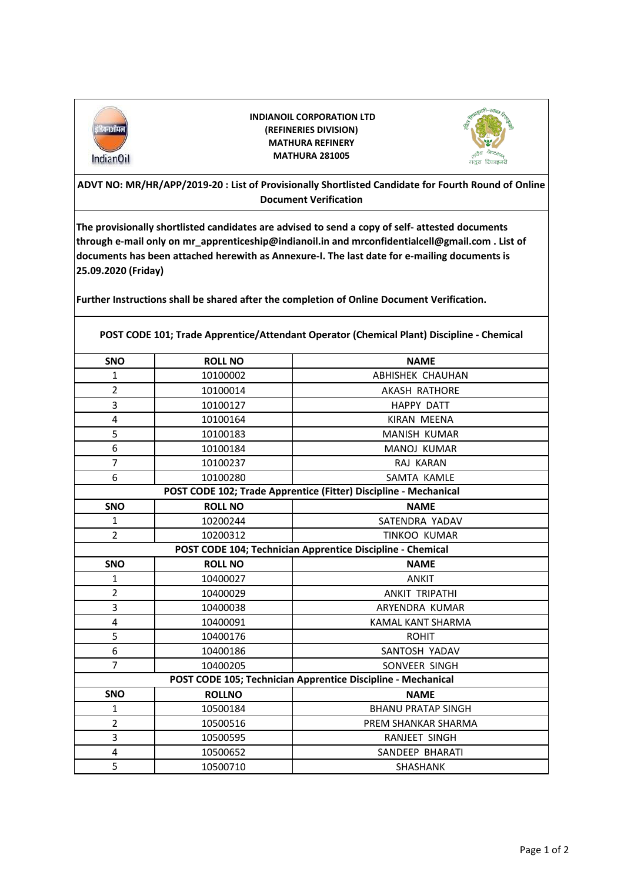

 **INDIANOIL CORPORATION LTD (REFINERIES DIVISION) MATHURA REFINERY MATHURA 281005**



**ADVT NO: MR/HR/APP/2019-20 : List of Provisionally Shortlisted Candidate for Fourth Round of Online Document Verification**

**The provisionally shortlisted candidates are advised to send a copy of self- attested documents through e-mail only on mr\_apprenticeship@indianoil.in and mrconfidentialcell@gmail.com . List of documents has been attached herewith as Annexure-I. The last date for e-mailing documents is 25.09.2020 (Friday)**

**Further Instructions shall be shared after the completion of Online Document Verification.**

**POST CODE 101; Trade Apprentice/Attendant Operator (Chemical Plant) Discipline - Chemical**

| SNO                                                              | <b>ROLL NO</b> | <b>NAME</b>               |  |
|------------------------------------------------------------------|----------------|---------------------------|--|
| 1                                                                | 10100002       | <b>ABHISHEK CHAUHAN</b>   |  |
| $\overline{2}$                                                   | 10100014       | <b>AKASH RATHORE</b>      |  |
| 3                                                                | 10100127       | <b>HAPPY DATT</b>         |  |
| 4                                                                | 10100164       | KIRAN MEENA               |  |
| 5                                                                | 10100183       | MANISH KUMAR              |  |
| 6                                                                | 10100184       | <b>MANOJ KUMAR</b>        |  |
| $\overline{7}$                                                   | 10100237       | RAJ KARAN                 |  |
| 6                                                                | 10100280       | SAMTA KAMLE               |  |
| POST CODE 102; Trade Apprentice (Fitter) Discipline - Mechanical |                |                           |  |
| SNO                                                              | <b>ROLL NO</b> | <b>NAME</b>               |  |
| $\mathbf{1}$                                                     | 10200244       | SATENDRA YADAV            |  |
| $\overline{2}$                                                   | 10200312       | <b>TINKOO KUMAR</b>       |  |
| POST CODE 104; Technician Apprentice Discipline - Chemical       |                |                           |  |
| SNO                                                              | <b>ROLL NO</b> | <b>NAME</b>               |  |
| $\mathbf{1}$                                                     | 10400027       | <b>ANKIT</b>              |  |
| $\overline{2}$                                                   | 10400029       | <b>ANKIT TRIPATHI</b>     |  |
| 3                                                                | 10400038       | ARYENDRA KUMAR            |  |
| 4                                                                | 10400091       | KAMAL KANT SHARMA         |  |
| 5                                                                | 10400176       | <b>ROHIT</b>              |  |
| 6                                                                | 10400186       | SANTOSH YADAV             |  |
| $\overline{7}$                                                   | 10400205       | SONVEER SINGH             |  |
| POST CODE 105; Technician Apprentice Discipline - Mechanical     |                |                           |  |
| <b>SNO</b>                                                       | <b>ROLLNO</b>  | <b>NAME</b>               |  |
| $\mathbf{1}$                                                     | 10500184       | <b>BHANU PRATAP SINGH</b> |  |
| $\overline{2}$                                                   | 10500516       | PREM SHANKAR SHARMA       |  |
| 3                                                                | 10500595       | RANJEET SINGH             |  |
| $\overline{\mathbf{4}}$                                          | 10500652       | SANDEEP BHARATI           |  |
| 5                                                                | 10500710       | <b>SHASHANK</b>           |  |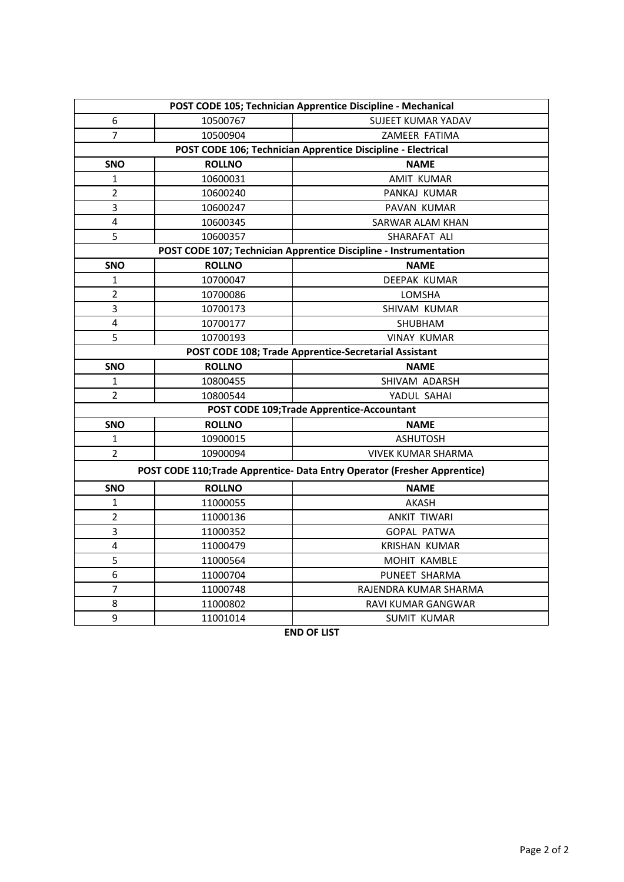| POST CODE 105; Technician Apprentice Discipline - Mechanical              |               |                           |  |
|---------------------------------------------------------------------------|---------------|---------------------------|--|
| 6                                                                         | 10500767      | <b>SUJEET KUMAR YADAV</b> |  |
| $\overline{7}$                                                            | 10500904      | ZAMEER FATIMA             |  |
| POST CODE 106; Technician Apprentice Discipline - Electrical              |               |                           |  |
| SNO                                                                       | <b>ROLLNO</b> | <b>NAME</b>               |  |
| $\mathbf{1}$                                                              | 10600031      | <b>AMIT KUMAR</b>         |  |
| $\overline{2}$                                                            | 10600240      | PANKAJ KUMAR              |  |
| 3                                                                         | 10600247      | PAVAN KUMAR               |  |
| 4                                                                         | 10600345      | SARWAR ALAM KHAN          |  |
| 5                                                                         | 10600357      | SHARAFAT ALI              |  |
| POST CODE 107; Technician Apprentice Discipline - Instrumentation         |               |                           |  |
| SNO                                                                       | <b>ROLLNO</b> | <b>NAME</b>               |  |
| 1                                                                         | 10700047      | DEEPAK KUMAR              |  |
| $\overline{2}$                                                            | 10700086      | LOMSHA                    |  |
| 3                                                                         | 10700173      | SHIVAM KUMAR              |  |
| 4                                                                         | 10700177      | <b>SHUBHAM</b>            |  |
| 5                                                                         | 10700193      | <b>VINAY KUMAR</b>        |  |
| POST CODE 108; Trade Apprentice-Secretarial Assistant                     |               |                           |  |
| SNO                                                                       | <b>ROLLNO</b> | <b>NAME</b>               |  |
| 1                                                                         | 10800455      | SHIVAM ADARSH             |  |
| $\overline{2}$                                                            | 10800544      | YADUL SAHAI               |  |
| POST CODE 109;Trade Apprentice-Accountant                                 |               |                           |  |
| <b>SNO</b>                                                                | <b>ROLLNO</b> | <b>NAME</b>               |  |
| 1                                                                         | 10900015      | <b>ASHUTOSH</b>           |  |
| $\overline{2}$                                                            | 10900094      | <b>VIVEK KUMAR SHARMA</b> |  |
| POST CODE 110; Trade Apprentice- Data Entry Operator (Fresher Apprentice) |               |                           |  |
| <b>SNO</b>                                                                | <b>ROLLNO</b> | <b>NAME</b>               |  |
| $\mathbf{1}$                                                              | 11000055      | <b>AKASH</b>              |  |
| $\overline{2}$                                                            | 11000136      | <b>ANKIT TIWARI</b>       |  |
| 3                                                                         | 11000352      | <b>GOPAL PATWA</b>        |  |
| 4                                                                         | 11000479      | <b>KRISHAN KUMAR</b>      |  |
| 5                                                                         | 11000564      | MOHIT KAMBLE              |  |
| 6                                                                         | 11000704      | PUNEET SHARMA             |  |
| $\overline{7}$                                                            | 11000748      | RAJENDRA KUMAR SHARMA     |  |
| 8                                                                         | 11000802      | RAVI KUMAR GANGWAR        |  |
| 9                                                                         | 11001014      | SUMIT KUMAR               |  |

**END OF LIST**